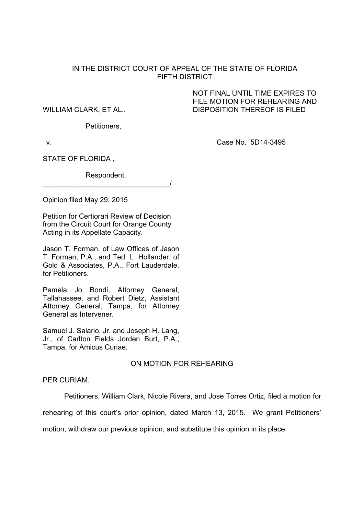## IN THE DISTRICT COURT OF APPEAL OF THE STATE OF FLORIDA FIFTH DISTRICT

WILLIAM CLARK, ET AL., DISPOSITION THEREOF IS FILED

Petitioners,

 NOT FINAL UNTIL TIME EXPIRES TO FILE MOTION FOR REHEARING AND

v. Case No. 5D14-3495

STATE OF FLORIDA ,

 Respondent. \_\_\_\_\_\_\_\_\_\_\_\_\_\_\_\_\_\_\_\_\_\_\_\_\_\_\_\_\_\_\_\_/

Opinion filed May 29, 2015

Petition for Certiorari Review of Decision from the Circuit Court for Orange County Acting in its Appellate Capacity.

Jason T. Forman, of Law Offices of Jason T. Forman, P.A., and Ted L. Hollander, of Gold & Associates, P.A., Fort Lauderdale, for Petitioners.

Pamela Jo Bondi, Attorney General, Tallahassee, and Robert Dietz, Assistant Attorney General, Tampa, for Attorney General as Intervener.

Samuel J. Salario, Jr. and Joseph H. Lang, Jr., of Carlton Fields Jorden Burt, P.A., Tampa, for Amicus Curiae.

## ON MOTION FOR REHEARING

PER CURIAM.

Petitioners, William Clark, Nicole Rivera, and Jose Torres Ortiz, filed a motion for

rehearing of this court's prior opinion, dated March 13, 2015. We grant Petitioners'

motion, withdraw our previous opinion, and substitute this opinion in its place.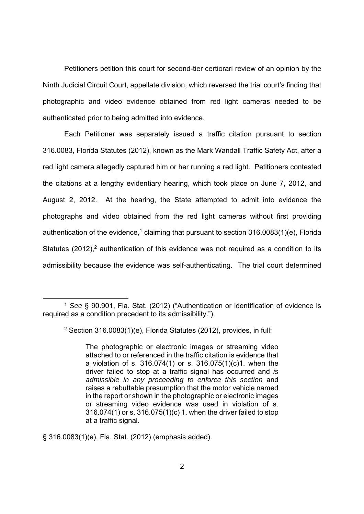Petitioners petition this court for second-tier certiorari review of an opinion by the Ninth Judicial Circuit Court, appellate division, which reversed the trial court's finding that photographic and video evidence obtained from red light cameras needed to be authenticated prior to being admitted into evidence.

Each Petitioner was separately issued a traffic citation pursuant to section 316.0083, Florida Statutes (2012), known as the Mark Wandall Traffic Safety Act, after a red light camera allegedly captured him or her running a red light. Petitioners contested the citations at a lengthy evidentiary hearing, which took place on June 7, 2012, and August 2, 2012. At the hearing, the State attempted to admit into evidence the photographs and video obtained from the red light cameras without first providing authentication of the evidence,<sup>1</sup> claiming that pursuant to section 316.0083(1)(e), Florida Statutes  $(2012)$ ,<sup>2</sup> authentication of this evidence was not required as a condition to its admissibility because the evidence was self-authenticating. The trial court determined

§ 316.0083(1)(e), Fla. Stat. (2012) (emphasis added).

 <sup>1</sup> *See* § 90.901, Fla. Stat. (2012) ("Authentication or identification of evidence is required as a condition precedent to its admissibility.").

<sup>2</sup> Section 316.0083(1)(e), Florida Statutes (2012), provides, in full:

The photographic or electronic images or streaming video attached to or referenced in the traffic citation is evidence that a violation of s. 316.074(1) or s. 316.075(1)(c)1. when the driver failed to stop at a traffic signal has occurred and *is admissible in any proceeding to enforce this section* and raises a rebuttable presumption that the motor vehicle named in the report or shown in the photographic or electronic images or streaming video evidence was used in violation of s. 316.074(1) or s. 316.075(1)(c) 1. when the driver failed to stop at a traffic signal.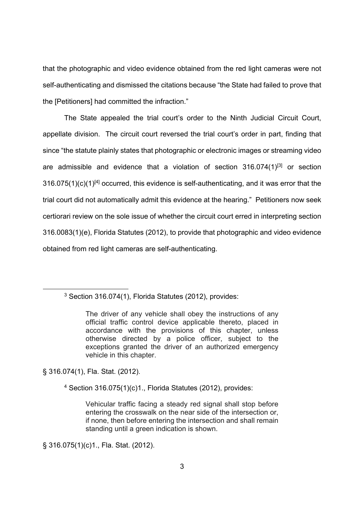that the photographic and video evidence obtained from the red light cameras were not self-authenticating and dismissed the citations because "the State had failed to prove that the [Petitioners] had committed the infraction."

The State appealed the trial court's order to the Ninth Judicial Circuit Court, appellate division. The circuit court reversed the trial court's order in part, finding that since "the statute plainly states that photographic or electronic images or streaming video are admissible and evidence that a violation of section  $316.074(1)^{[3]}$  or section  $316.075(1)(c)(1)^{[4]}$  occurred, this evidence is self-authenticating, and it was error that the trial court did not automatically admit this evidence at the hearing." Petitioners now seek certiorari review on the sole issue of whether the circuit court erred in interpreting section 316.0083(1)(e), Florida Statutes (2012), to provide that photographic and video evidence obtained from red light cameras are self-authenticating.

§ 316.074(1), Fla. Stat. (2012).

4 Section 316.075(1)(c)1., Florida Statutes (2012), provides:

§ 316.075(1)(c)1., Fla. Stat. (2012).

 <sup>3</sup> Section 316.074(1), Florida Statutes (2012), provides:

The driver of any vehicle shall obey the instructions of any official traffic control device applicable thereto, placed in accordance with the provisions of this chapter, unless otherwise directed by a police officer, subject to the exceptions granted the driver of an authorized emergency vehicle in this chapter.

Vehicular traffic facing a steady red signal shall stop before entering the crosswalk on the near side of the intersection or, if none, then before entering the intersection and shall remain standing until a green indication is shown.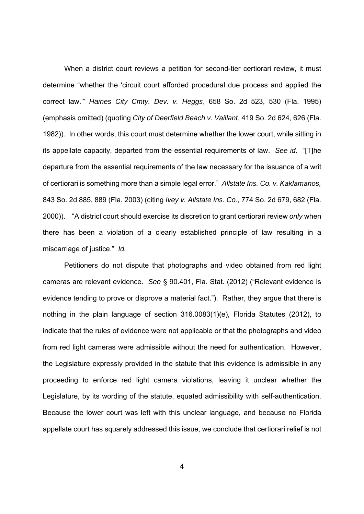When a district court reviews a petition for second-tier certiorari review, it must determine "whether the 'circuit court afforded procedural due process and applied the correct law.'" *Haines City Cmty. Dev. v. Heggs*, 658 So. 2d 523, 530 (Fla. 1995) (emphasis omitted) (quoting *City of Deerfield Beach v. Vaillant*, 419 So. 2d 624, 626 (Fla. 1982)). In other words, this court must determine whether the lower court, while sitting in its appellate capacity, departed from the essential requirements of law. *See id*. "[T]he departure from the essential requirements of the law necessary for the issuance of a writ of certiorari is something more than a simple legal error." *Allstate Ins. Co. v. Kaklamanos,* 843 So. 2d 885, 889 (Fla. 2003) (citing *Ivey v. Allstate Ins. Co.*, 774 So. 2d 679, 682 (Fla. 2000)). "A district court should exercise its discretion to grant certiorari review *only* when there has been a violation of a clearly established principle of law resulting in a miscarriage of justice." *Id.* 

Petitioners do not dispute that photographs and video obtained from red light cameras are relevant evidence. *See* § 90.401, Fla. Stat. (2012) ("Relevant evidence is evidence tending to prove or disprove a material fact."). Rather, they argue that there is nothing in the plain language of section 316.0083(1)(e), Florida Statutes (2012), to indicate that the rules of evidence were not applicable or that the photographs and video from red light cameras were admissible without the need for authentication. However, the Legislature expressly provided in the statute that this evidence is admissible in any proceeding to enforce red light camera violations, leaving it unclear whether the Legislature, by its wording of the statute, equated admissibility with self-authentication. Because the lower court was left with this unclear language, and because no Florida appellate court has squarely addressed this issue, we conclude that certiorari relief is not

4